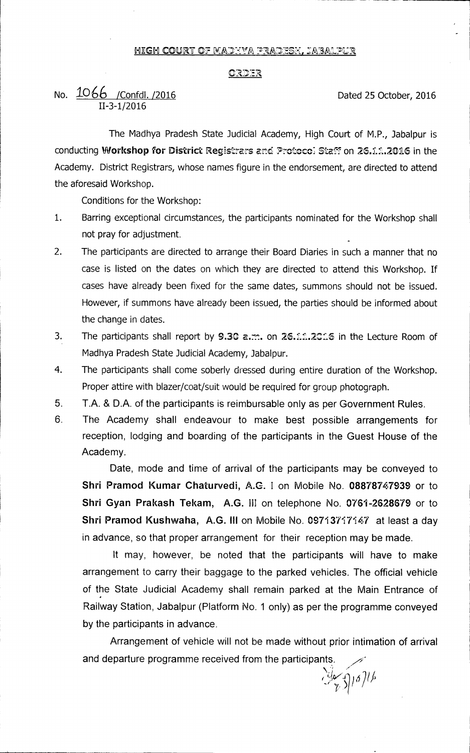#### <u>HIGH COURT OF MADEYA PRADESH, JABALPUR</u>

#### <u>ORDER</u>

# No.  $\underline{1066}$  /Confdl. /2016 <br>Dated 25 October, 2016 II-3-1/2016

The Madhya Pradesh State Judicial Academy, High Court of M.P., Jabalpur is conducting Workshop for District Registrars and Protoco: Staff on 26.11.2016 in the Academy. District Registrars, whose names figure in the endorsement, are directed to attend the aforesaid Workshop.

Conditions for the Workshop:

- 1. Barring exceptional circumstances, the participants nominated for the Workshop shall not pray for adjustment.
- 2. The participants are directed to arrange their Board Diaries in such a manner that no case is listed on the dates on which they are directed to attend this Workshop. If cases have already been fixed for the same dates, summons should not be issued. However, if summons have already been issued, the parties should be informed about the change in dates.
- 3. The participants shall report by 9.30 a.m. on 26.11.2016 in the Lecture Room of Madhya Pradesh State Judicial Academy, Jabalpur.
- 4. The participants shall come soberly dressed during entire duration of the Workshop. Proper attire with blazer/coat/suit would be required for group photograph.
- 5 **T.A. & D.A.** of the participants is reimbursable only as per Government Rules.
- 6 The Academy shall endeavour to make best possible arrangements for reception, lodging and boarding of the participants in the Guest House of the Academy.

Date, mode and time of arrival of the participants may be conveyed to **Shri Pramod Kumar Chaturvedi, A.G.** I on Mobile No. **08878747939** or to **Shri Gyan Prakash Tekam, A.G. III** on telephone No. **0761-2628679** or to **Shri Pramod Kushwaha, A.G. III** on Mobile No. 09713717147 at least a day in advance, so that proper arrangement for their reception may be made.

It may, however, be noted that the participants will have to make arrangement to carry their baggage to the parked vehicles. The official vehicle of the State Judicial Academy shall remain parked at the Main Entrance of Railway Station, Jabalpur (Platform No. 1 only) as per the programme conveyed by the participants in advance.

Arrangement of vehicle will not be made without prior intimation of arrival and departure programme received from the participants.

**-/ )**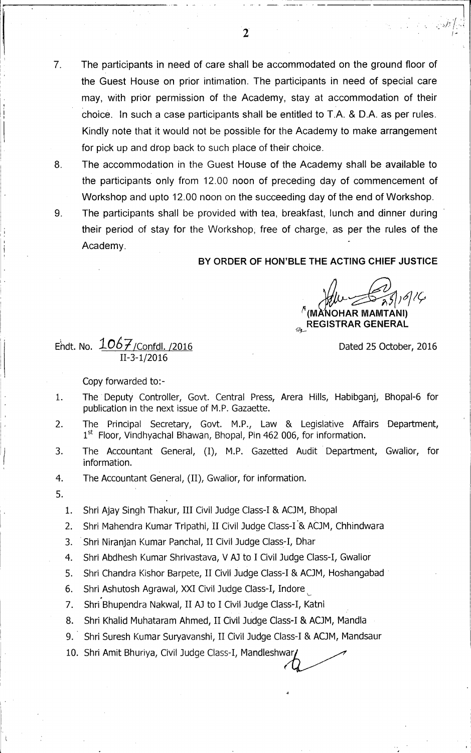- 7. The participants in need of care shall be accommodated on the ground floor of the Guest House on prior intimation. The participants in need of special care may, with prior permission of the Academy, stay at accommodation of their choice. In such a case participants shall be entitled to T.A. & D.A. as per rules. Kindly note that it would not be possible for the Academy to make arrangement for pick up and drop back to such place of their choice.
- 

8. The accommodation in the Guest House of the Academy shall be available to the participants only from 12.00 noon of preceding day of commencement of Workshop and upto 12.00 noon on the succeeding day of the end of Workshop.

9. The participants shall be provided with tea, breakfast, lunch and dinner during their period of stay for the Workshop, free of charge, as per the rules of the Academy.

### **BY ORDER OF HON'BLE THE ACTING CHIEF JUSTICE**

**NOHAR MAMTANI)** 

**REGISTRAR GENERAL** 

Dated 25 October, 2016

## Endt. No.  $106\frac{7}{1}$  / Confdl. /2016 II-3-1/2016

Copy forwarded to:-

- 1. The Deputy Controller, Govt. Central Press, Arera Hills, Habibganj, Bhopal-6 for publication in the next issue of M.P. Gazaette.
- 2. The Principal Secretary, Govt. M.P., Law & Legislative Affairs Department,  $1<sup>st</sup>$  Floor, Vindhyachal Bhawan, Bhopal, Pin 462 006, for information.
- 3. The Accountant General, (I), M.P. Gazetted Audit Department, Gwalior, for information.
- 4. The Accountant General, (II), Gwalior, for information.
- 5.

1. Shri Ajay Singh Thakur, III Civil Judge Class-I & ACJM, Bhopal

- 2. Shri Mahendra Kumar Tripathi, II Civil Judge Class-I & ACJM, Chhindwara
- 3. Shri Niranjan Kumar Panchal, II Civil Judge Class-I, Dhar
- 4. Shri Abdhesh Kumar Shrivastava, V AJ to I Civil Judge Class-I, Gwalior
- 5. Shri Chandra Kishor Barpete, II Civil Judge Class-I & ACJM, Hoshangabad
- 6. Shri.Ashutosh Agrawal, XXI Civil Judge Class-I, Indore
- 7. Shri Bhupendra Nakwal, II A3 to I Civil Judge Class-I, Katni
- 8. Shri Khalid Muhataram Ahmed, II Civil Judge Class-I & ACJM, Mandla
- 9. Shri Suresh Kumar Suryavanshi, II Civil Judge Class-I & ACJM, Mandsaur
- 10. Shri Amit Bhuriya, Civil Judge Class-I, Mandleshwar,

 $\overline{2}$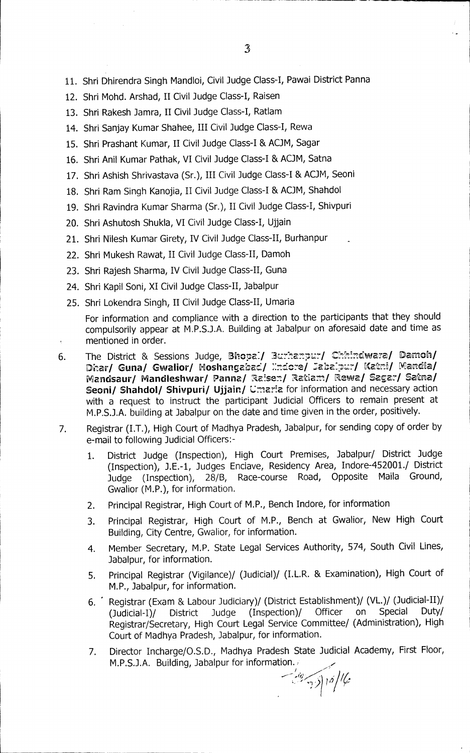- 11. Shri Dhirendra Singh Mandloi, Civil Judge Class-I, Pawai District Panna
- 12. Shri Mohd. Arshad, II Civil Judge Class-I, Raisen
- 13. Shri Rakesh Jamra, II Civil Judge Class-I, Ratlam
- 14. Shri Sanjay Kumar Shahee, III Civil Judge Class-I, Rewa
- 15. Shri Prashant Kumar, II Civil Judge Class-I & ACJM, Sagar
- 16. Shri Anil Kumar Pathak, VI Civil Judge Class-I & ACJM, Satna
- 17. Shri Ashish Shrivastava (Sr.), III Civil Judge Class-I & ACJM, Seoni
- 18. Shri Ram Singh Kanojia, II Civil Judge Class-I & ACJM, Shahdol
- 19. Shri Ravindra Kumar Sharma (Sr.), II Civil Judge Class-I, Shivpuri
- 20. Shri Ashutosh Shukla, VI Civil Judge Class-I, Ujjain
- 21. Shri Nilesh Kumar Girety, IV Civil Judge Class-II, Burhanpur
- 22. Shri Mukesh Rawat, II Civil Judge Class-II, Damoh
- 23. Shri Rajesh Sharma, IV Civil Judge Class-II, Guna
- 24. Shri Kapil Soni, XI Civil Judge Class-II, Jabalpur
- 25. Shri Lokendra Singh, II Civil Judge Class-II, Umaria

For information and compliance with a direction to the participants that they should compulsorily appear at M.P.S.J.A. Building at Jabalpur on aforesaid date and time as mentioned in order.

- 6. The District & Sessions Judge, Bhopal/ *Burhanpur*/ Chhindwara/ Damoh/ Dhar**/ Guna/ Gwalior/ Hoshangabad/ Xndore/ Jabalpur/ Katni/ Mandla/** Mandsaur/ Mandleshwar/ Panna/ Raisen/ Ratiam/ Rewa/ Sagar/ Satna/ Seoni/ Shahdol/ Shivpuri/ Ujjain/ Umaria for information and necessary action with a request to instruct the participant Judicial Officers to remain present at M.P.S.J.A. building at Jabalpur on the date and time given in the order, positively.
- 7. Registrar (I.T.), High Court of Madhya Pradesh, Jabalpur, for sending copy of order by e-mail to following Judicial Officers:-
	- 1. District Judge (Inspection), High Court Premises, Jabalpur/ District Judge (Inspection), J.E.-1, Judges Enclave, Residency Area, Indore-452001./ District Judge (Inspection), 28/B, Race-course Road, Opposite Maila Ground, Gwalior (M.P.), for information.
	- 2. Principal Registrar, High Court of M.P., Bench Indore, for information
	- 3. Principal Registrar, High Court of M.P., Bench at Gwalior, New High Court Building, City Centre, Gwalior, for information.
	- 4. Member Secretary, M.P. State Legal Services Authority, 574, South Civil Lines, Jabalpur, for information.
	- 5. Principal Registrar (Vigilance)/ (Judicial)/ (I.L.R. & Examination), High Court of M.P., Jabalpur, for information.
	- 6. \* Registrar (Exam & Labour Judiciary)/ (District Establishment)/ (VL.)/ (Judicial-II)/<br>(Judicial-I)/ District Judge (Inspection)/ Officer on Special Duty/ (Judicial-I)/ District Judge (Inspection)/ Officer Registrar/Secretary, High Court Legal Service Committee/ (Administration), High Court of Madhya Pradesh, Jabalpur, for information.
	- 7. Director Incharge/O.S.D., Madhya Pradesh State Judicial Academy, First Floor, M.P.S.J.A. Building, Jabalpur for information...